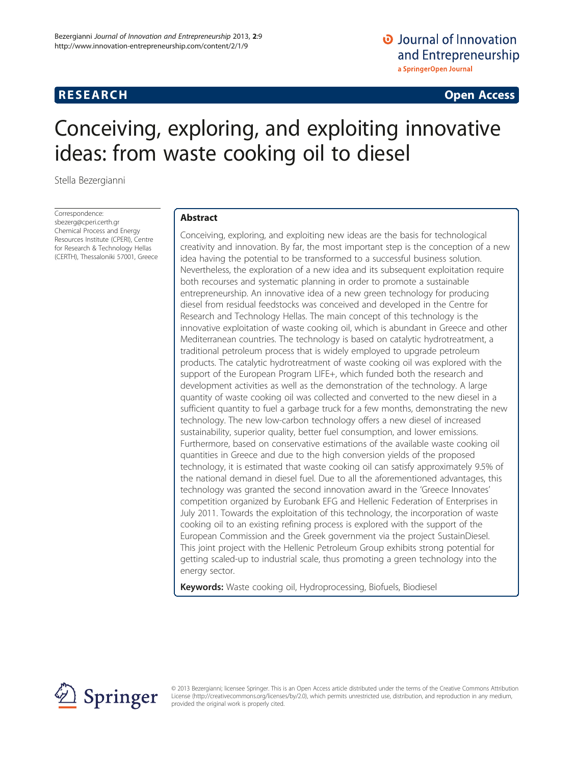# **RESEARCH CHINESE ARCH CHINESE ARCH CHINESE ARCH**

# Conceiving, exploring, and exploiting innovative ideas: from waste cooking oil to diesel

Stella Bezergianni

Correspondence: sbezerg@cperi.certh.gr Chemical Process and Energy Resources Institute (CPERI), Centre for Research & Technology Hellas (CERTH), Thessaloniki 57001, Greece

# Abstract

Conceiving, exploring, and exploiting new ideas are the basis for technological creativity and innovation. By far, the most important step is the conception of a new idea having the potential to be transformed to a successful business solution. Nevertheless, the exploration of a new idea and its subsequent exploitation require both recourses and systematic planning in order to promote a sustainable entrepreneurship. An innovative idea of a new green technology for producing diesel from residual feedstocks was conceived and developed in the Centre for Research and Technology Hellas. The main concept of this technology is the innovative exploitation of waste cooking oil, which is abundant in Greece and other Mediterranean countries. The technology is based on catalytic hydrotreatment, a traditional petroleum process that is widely employed to upgrade petroleum products. The catalytic hydrotreatment of waste cooking oil was explored with the support of the European Program LIFE+, which funded both the research and development activities as well as the demonstration of the technology. A large quantity of waste cooking oil was collected and converted to the new diesel in a sufficient quantity to fuel a garbage truck for a few months, demonstrating the new technology. The new low-carbon technology offers a new diesel of increased sustainability, superior quality, better fuel consumption, and lower emissions. Furthermore, based on conservative estimations of the available waste cooking oil quantities in Greece and due to the high conversion yields of the proposed technology, it is estimated that waste cooking oil can satisfy approximately 9.5% of the national demand in diesel fuel. Due to all the aforementioned advantages, this technology was granted the second innovation award in the 'Greece Innovates' competition organized by Eurobank EFG and Hellenic Federation of Enterprises in July 2011. Towards the exploitation of this technology, the incorporation of waste cooking oil to an existing refining process is explored with the support of the European Commission and the Greek government via the project SustainDiesel. This joint project with the Hellenic Petroleum Group exhibits strong potential for getting scaled-up to industrial scale, thus promoting a green technology into the energy sector.

Keywords: Waste cooking oil, Hydroprocessing, Biofuels, Biodiesel



© 2013 Bezergianni; licensee Springer. This is an Open Access article distributed under the terms of the Creative Commons Attribution License [\(http://creativecommons.org/licenses/by/2.0\)](http://creativecommons.org/licenses/by/2.0), which permits unrestricted use, distribution, and reproduction in any medium, provided the original work is properly cited.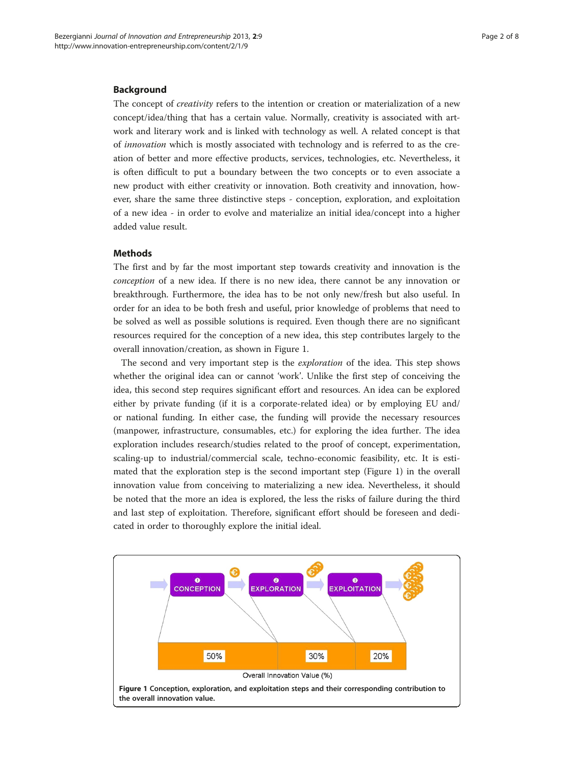# <span id="page-1-0"></span>**Background**

The concept of *creativity* refers to the intention or creation or materialization of a new concept/idea/thing that has a certain value. Normally, creativity is associated with artwork and literary work and is linked with technology as well. A related concept is that of innovation which is mostly associated with technology and is referred to as the creation of better and more effective products, services, technologies, etc. Nevertheless, it is often difficult to put a boundary between the two concepts or to even associate a new product with either creativity or innovation. Both creativity and innovation, however, share the same three distinctive steps - conception, exploration, and exploitation of a new idea - in order to evolve and materialize an initial idea/concept into a higher added value result.

## **Methods**

The first and by far the most important step towards creativity and innovation is the conception of a new idea. If there is no new idea, there cannot be any innovation or breakthrough. Furthermore, the idea has to be not only new/fresh but also useful. In order for an idea to be both fresh and useful, prior knowledge of problems that need to be solved as well as possible solutions is required. Even though there are no significant resources required for the conception of a new idea, this step contributes largely to the overall innovation/creation, as shown in Figure 1.

The second and very important step is the *exploration* of the idea. This step shows whether the original idea can or cannot 'work'. Unlike the first step of conceiving the idea, this second step requires significant effort and resources. An idea can be explored either by private funding (if it is a corporate-related idea) or by employing EU and/ or national funding. In either case, the funding will provide the necessary resources (manpower, infrastructure, consumables, etc.) for exploring the idea further. The idea exploration includes research/studies related to the proof of concept, experimentation, scaling-up to industrial/commercial scale, techno-economic feasibility, etc. It is estimated that the exploration step is the second important step (Figure 1) in the overall innovation value from conceiving to materializing a new idea. Nevertheless, it should be noted that the more an idea is explored, the less the risks of failure during the third and last step of exploitation. Therefore, significant effort should be foreseen and dedicated in order to thoroughly explore the initial ideal.

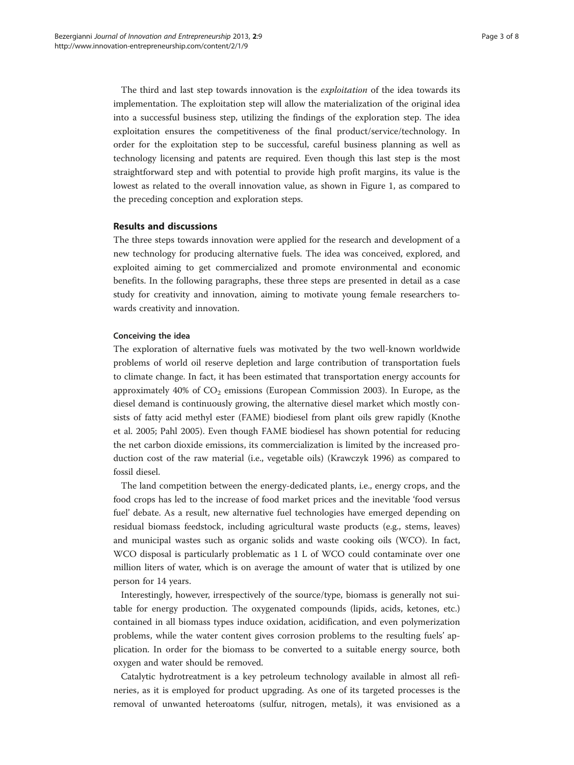The third and last step towards innovation is the *exploitation* of the idea towards its implementation. The exploitation step will allow the materialization of the original idea into a successful business step, utilizing the findings of the exploration step. The idea exploitation ensures the competitiveness of the final product/service/technology. In order for the exploitation step to be successful, careful business planning as well as technology licensing and patents are required. Even though this last step is the most straightforward step and with potential to provide high profit margins, its value is the lowest as related to the overall innovation value, as shown in Figure [1](#page-1-0), as compared to the preceding conception and exploration steps.

# Results and discussions

The three steps towards innovation were applied for the research and development of a new technology for producing alternative fuels. The idea was conceived, explored, and exploited aiming to get commercialized and promote environmental and economic benefits. In the following paragraphs, these three steps are presented in detail as a case study for creativity and innovation, aiming to motivate young female researchers towards creativity and innovation.

#### Conceiving the idea

The exploration of alternative fuels was motivated by the two well-known worldwide problems of world oil reserve depletion and large contribution of transportation fuels to climate change. In fact, it has been estimated that transportation energy accounts for approximately  $40\%$  of  $CO<sub>2</sub>$  emissions (European Commission [2003\)](#page-7-0). In Europe, as the diesel demand is continuously growing, the alternative diesel market which mostly consists of fatty acid methyl ester (FAME) biodiesel from plant oils grew rapidly (Knothe et al. [2005;](#page-7-0) Pahl [2005](#page-7-0)). Even though FAME biodiesel has shown potential for reducing the net carbon dioxide emissions, its commercialization is limited by the increased production cost of the raw material (i.e., vegetable oils) (Krawczyk [1996\)](#page-7-0) as compared to fossil diesel.

The land competition between the energy-dedicated plants, i.e., energy crops, and the food crops has led to the increase of food market prices and the inevitable 'food versus fuel' debate. As a result, new alternative fuel technologies have emerged depending on residual biomass feedstock, including agricultural waste products (e.g., stems, leaves) and municipal wastes such as organic solids and waste cooking oils (WCO). In fact, WCO disposal is particularly problematic as 1 L of WCO could contaminate over one million liters of water, which is on average the amount of water that is utilized by one person for 14 years.

Interestingly, however, irrespectively of the source/type, biomass is generally not suitable for energy production. The oxygenated compounds (lipids, acids, ketones, etc.) contained in all biomass types induce oxidation, acidification, and even polymerization problems, while the water content gives corrosion problems to the resulting fuels' application. In order for the biomass to be converted to a suitable energy source, both oxygen and water should be removed.

Catalytic hydrotreatment is a key petroleum technology available in almost all refineries, as it is employed for product upgrading. As one of its targeted processes is the removal of unwanted heteroatoms (sulfur, nitrogen, metals), it was envisioned as a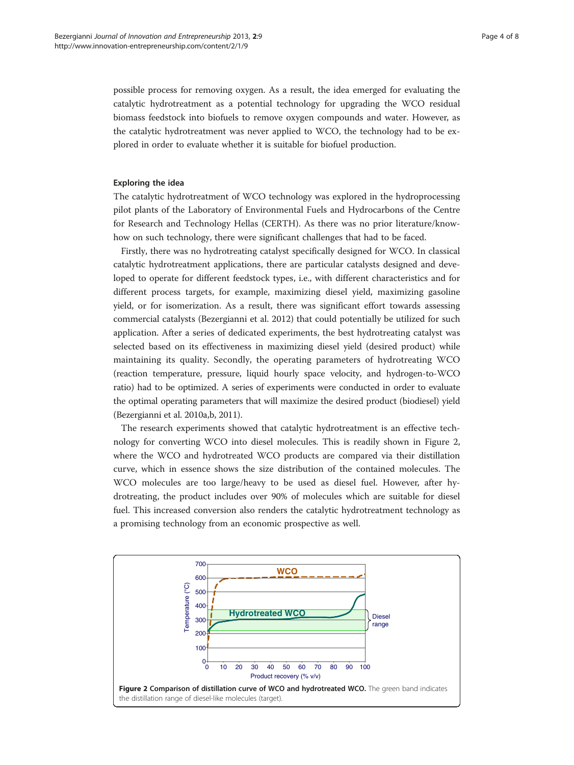possible process for removing oxygen. As a result, the idea emerged for evaluating the catalytic hydrotreatment as a potential technology for upgrading the WCO residual biomass feedstock into biofuels to remove oxygen compounds and water. However, as the catalytic hydrotreatment was never applied to WCO, the technology had to be explored in order to evaluate whether it is suitable for biofuel production.

# Exploring the idea

The catalytic hydrotreatment of WCO technology was explored in the hydroprocessing pilot plants of the Laboratory of Environmental Fuels and Hydrocarbons of the Centre for Research and Technology Hellas (CERTH). As there was no prior literature/knowhow on such technology, there were significant challenges that had to be faced.

Firstly, there was no hydrotreating catalyst specifically designed for WCO. In classical catalytic hydrotreatment applications, there are particular catalysts designed and developed to operate for different feedstock types, i.e., with different characteristics and for different process targets, for example, maximizing diesel yield, maximizing gasoline yield, or for isomerization. As a result, there was significant effort towards assessing commercial catalysts (Bezergianni et al. [2012\)](#page-6-0) that could potentially be utilized for such application. After a series of dedicated experiments, the best hydrotreating catalyst was selected based on its effectiveness in maximizing diesel yield (desired product) while maintaining its quality. Secondly, the operating parameters of hydrotreating WCO (reaction temperature, pressure, liquid hourly space velocity, and hydrogen-to-WCO ratio) had to be optimized. A series of experiments were conducted in order to evaluate the optimal operating parameters that will maximize the desired product (biodiesel) yield (Bezergianni et al. [2010a](#page-6-0),b, [2011](#page-6-0)).

The research experiments showed that catalytic hydrotreatment is an effective technology for converting WCO into diesel molecules. This is readily shown in Figure 2, where the WCO and hydrotreated WCO products are compared via their distillation curve, which in essence shows the size distribution of the contained molecules. The WCO molecules are too large/heavy to be used as diesel fuel. However, after hydrotreating, the product includes over 90% of molecules which are suitable for diesel fuel. This increased conversion also renders the catalytic hydrotreatment technology as a promising technology from an economic prospective as well.

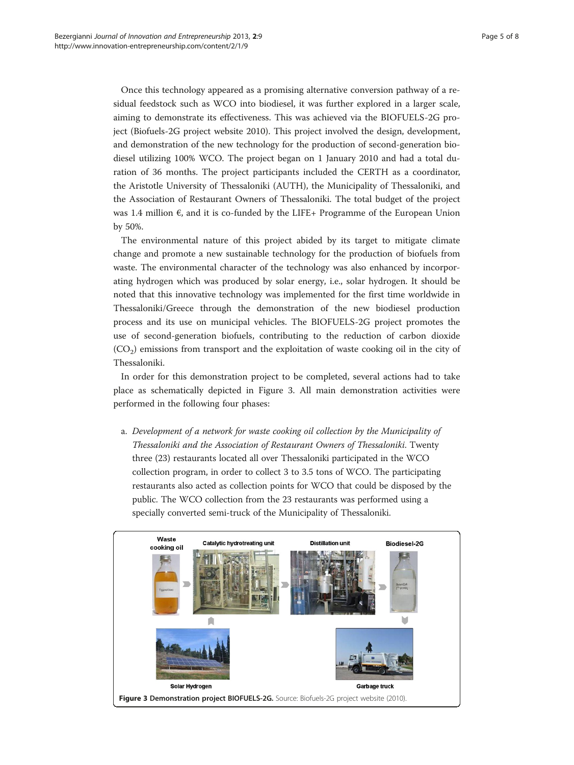Once this technology appeared as a promising alternative conversion pathway of a residual feedstock such as WCO into biodiesel, it was further explored in a larger scale, aiming to demonstrate its effectiveness. This was achieved via the BIOFUELS-2G project (Biofuels-2G project website [2010](#page-6-0)). This project involved the design, development, and demonstration of the new technology for the production of second-generation biodiesel utilizing 100% WCO. The project began on 1 January 2010 and had a total duration of 36 months. The project participants included the CERTH as a coordinator, the Aristotle University of Thessaloniki (AUTH), the Municipality of Thessaloniki, and the Association of Restaurant Owners of Thessaloniki. The total budget of the project was 1.4 million  $\epsilon$ , and it is co-funded by the LIFE+ Programme of the European Union by 50%.

The environmental nature of this project abided by its target to mitigate climate change and promote a new sustainable technology for the production of biofuels from waste. The environmental character of the technology was also enhanced by incorporating hydrogen which was produced by solar energy, i.e., solar hydrogen. It should be noted that this innovative technology was implemented for the first time worldwide in Thessaloniki/Greece through the demonstration of the new biodiesel production process and its use on municipal vehicles. The BIOFUELS-2G project promotes the use of second-generation biofuels, contributing to the reduction of carbon dioxide  $(CO<sub>2</sub>)$  emissions from transport and the exploitation of waste cooking oil in the city of Thessaloniki.

In order for this demonstration project to be completed, several actions had to take place as schematically depicted in Figure 3. All main demonstration activities were performed in the following four phases:

a. Development of a network for waste cooking oil collection by the Municipality of Thessaloniki and the Association of Restaurant Owners of Thessaloniki. Twenty three (23) restaurants located all over Thessaloniki participated in the WCO collection program, in order to collect 3 to 3.5 tons of WCO. The participating restaurants also acted as collection points for WCO that could be disposed by the public. The WCO collection from the 23 restaurants was performed using a specially converted semi-truck of the Municipality of Thessaloniki.

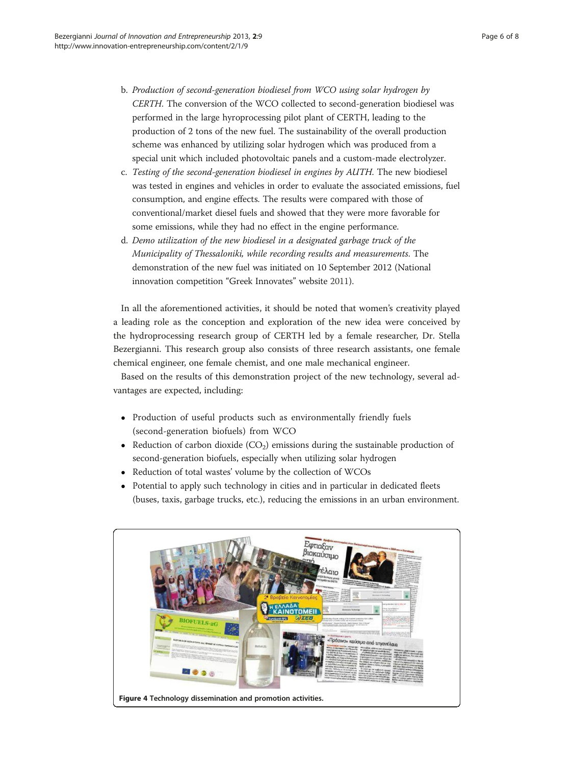- <span id="page-5-0"></span>b. Production of second-generation biodiesel from WCO using solar hydrogen by CERTH. The conversion of the WCO collected to second-generation biodiesel was performed in the large hyroprocessing pilot plant of CERTH, leading to the production of 2 tons of the new fuel. The sustainability of the overall production scheme was enhanced by utilizing solar hydrogen which was produced from a special unit which included photovoltaic panels and a custom-made electrolyzer.
- c. Testing of the second-generation biodiesel in engines by AUTH. The new biodiesel was tested in engines and vehicles in order to evaluate the associated emissions, fuel consumption, and engine effects. The results were compared with those of conventional/market diesel fuels and showed that they were more favorable for some emissions, while they had no effect in the engine performance.
- d. Demo utilization of the new biodiesel in a designated garbage truck of the Municipality of Thessaloniki, while recording results and measurements. The demonstration of the new fuel was initiated on 10 September 2012 (National innovation competition "Greek Innovates" website [2011](#page-7-0)).

In all the aforementioned activities, it should be noted that women's creativity played a leading role as the conception and exploration of the new idea were conceived by the hydroprocessing research group of CERTH led by a female researcher, Dr. Stella Bezergianni. This research group also consists of three research assistants, one female chemical engineer, one female chemist, and one male mechanical engineer.

Based on the results of this demonstration project of the new technology, several advantages are expected, including:

- Production of useful products such as environmentally friendly fuels (second-generation biofuels) from WCO
- Reduction of carbon dioxide  $(CO_2)$  emissions during the sustainable production of second-generation biofuels, especially when utilizing solar hydrogen
- Reduction of total wastes' volume by the collection of WCOs
- Potential to apply such technology in cities and in particular in dedicated fleets (buses, taxis, garbage trucks, etc.), reducing the emissions in an urban environment.

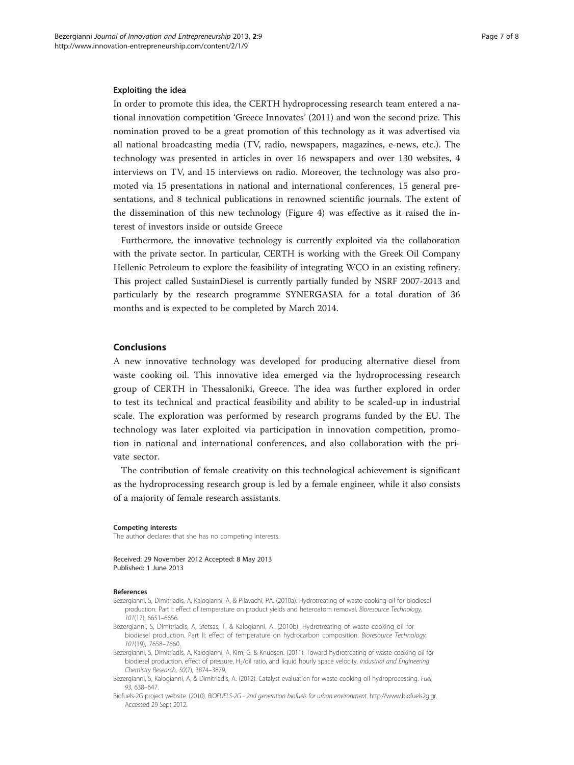## <span id="page-6-0"></span>Exploiting the idea

In order to promote this idea, the CERTH hydroprocessing research team entered a national innovation competition 'Greece Innovates' [\(2011](#page-7-0)) and won the second prize. This nomination proved to be a great promotion of this technology as it was advertised via all national broadcasting media (TV, radio, newspapers, magazines, e-news, etc.). The technology was presented in articles in over 16 newspapers and over 130 websites, 4 interviews on TV, and 15 interviews on radio. Moreover, the technology was also promoted via 15 presentations in national and international conferences, 15 general presentations, and 8 technical publications in renowned scientific journals. The extent of the dissemination of this new technology (Figure [4](#page-5-0)) was effective as it raised the interest of investors inside or outside Greece

Furthermore, the innovative technology is currently exploited via the collaboration with the private sector. In particular, CERTH is working with the Greek Oil Company Hellenic Petroleum to explore the feasibility of integrating WCO in an existing refinery. This project called SustainDiesel is currently partially funded by NSRF 2007-2013 and particularly by the research programme SYNERGASIA for a total duration of 36 months and is expected to be completed by March 2014.

# Conclusions

A new innovative technology was developed for producing alternative diesel from waste cooking oil. This innovative idea emerged via the hydroprocessing research group of CERTH in Thessaloniki, Greece. The idea was further explored in order to test its technical and practical feasibility and ability to be scaled-up in industrial scale. The exploration was performed by research programs funded by the EU. The technology was later exploited via participation in innovation competition, promotion in national and international conferences, and also collaboration with the private sector.

The contribution of female creativity on this technological achievement is significant as the hydroprocessing research group is led by a female engineer, while it also consists of a majority of female research assistants.

#### Competing interests

The author declares that she has no competing interests.

Received: 29 November 2012 Accepted: 8 May 2013 Published: 1 June 2013

#### References

- Bezergianni, S, Dimitriadis, A, Kalogianni, A, & Pilavachi, PA. (2010a). Hydrotreating of waste cooking oil for biodiesel production. Part I: effect of temperature on product yields and heteroatom removal. Bioresource Technology, 101(17), 6651–6656.
- Bezergianni, S, Dimitriadis, A, Sfetsas, T, & Kalogianni, A. (2010b). Hydrotreating of waste cooking oil for biodiesel production. Part II: effect of temperature on hydrocarbon composition. Bioresource Technology, 101(19), 7658–7660.
- Bezergianni, S, Dimitriadis, A, Kalogianni, A, Kim, G, & Knudsen. (2011). Toward hydrotreating of waste cooking oil for biodiesel production, effect of pressure,  $H_2$ /oil ratio, and liquid hourly space velocity. Industrial and Engineering Chemistry Research, 50(7), 3874–3879.
- Bezergianni, S, Kalogianni, A, & Dimitriadis, A. (2012). Catalyst evaluation for waste cooking oil hydroprocessing. Fuel, 93, 638–647.
- Biofuels-2G project website. (2010). BIOFUELS-2G 2nd generation biofuels for urban environment.<http://www.biofuels2g.gr>. Accessed 29 Sept 2012.